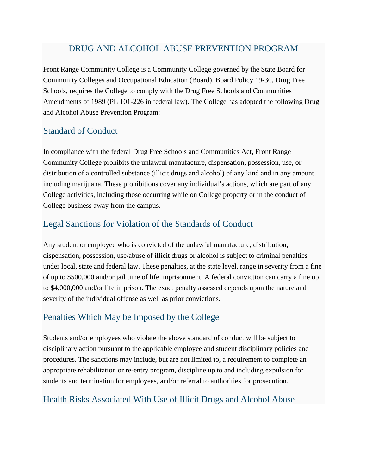## DRUG AND ALCOHOL ABUSE PREVENTION PROGRAM

Front Range Community College is a Community College governed by the State Board for Community Colleges and Occupational Education (Board). Board Policy 19-30, Drug Free Schools, requires the College to comply with the Drug Free Schools and Communities Amendments of 1989 (PL 101-226 in federal law). The College has adopted the following Drug and Alcohol Abuse Prevention Program:

#### Standard of Conduct

In compliance with the federal Drug Free Schools and Communities Act, Front Range Community College prohibits the unlawful manufacture, dispensation, possession, use, or distribution of a controlled substance (illicit drugs and alcohol) of any kind and in any amount including marijuana. These prohibitions cover any individual's actions, which are part of any College activities, including those occurring while on College property or in the conduct of College business away from the campus.

## Legal Sanctions for Violation of the Standards of Conduct

Any student or employee who is convicted of the unlawful manufacture, distribution, dispensation, possession, use/abuse of illicit drugs or alcohol is subject to criminal penalties under local, state and federal law. These penalties, at the state level, range in severity from a fine of up to \$500,000 and/or jail time of life imprisonment. A federal conviction can carry a fine up to \$4,000,000 and/or life in prison. The exact penalty assessed depends upon the nature and severity of the individual offense as well as prior convictions.

### Penalties Which May be Imposed by the College

Students and/or employees who violate the above standard of conduct will be subject to disciplinary action pursuant to the applicable employee and student disciplinary policies and procedures. The sanctions may include, but are not limited to, a requirement to complete an appropriate rehabilitation or re-entry program, discipline up to and including expulsion for students and termination for employees, and/or referral to authorities for prosecution.

### Health Risks Associated With Use of Illicit Drugs and Alcohol Abuse